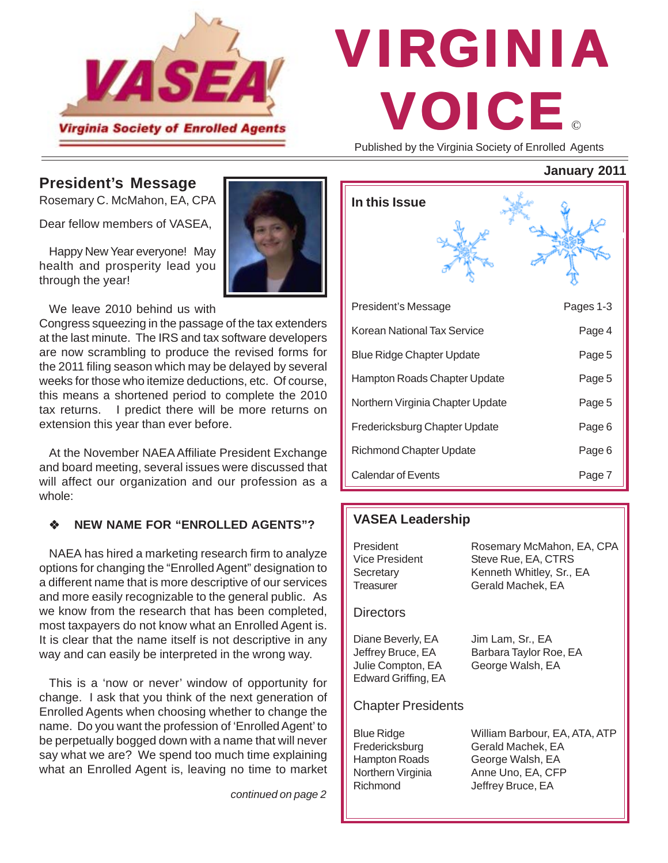

# © VIRGINIA VOICE

Published by the Virginia Society of Enrolled Agents

**January 2011**

### **President's Message**

Rosemary C. McMahon, EA, CPA

Dear fellow members of VASEA,

Happy New Year everyone! May health and prosperity lead you through the year!

We leave 2010 behind us with

Congress squeezing in the passage of the tax extenders at the last minute. The IRS and tax software developers are now scrambling to produce the revised forms for the 2011 filing season which may be delayed by several weeks for those who itemize deductions, etc. Of course, this means a shortened period to complete the 2010 tax returns. I predict there will be more returns on extension this year than ever before.

At the November NAEA Affiliate President Exchange and board meeting, several issues were discussed that will affect our organization and our profession as a whole:

### **NEW NAME FOR "ENROLLED AGENTS"?**

NAEA has hired a marketing research firm to analyze options for changing the "Enrolled Agent" designation to a different name that is more descriptive of our services and more easily recognizable to the general public. As we know from the research that has been completed, most taxpayers do not know what an Enrolled Agent is. It is clear that the name itself is not descriptive in any way and can easily be interpreted in the wrong way.

This is a 'now or never' window of opportunity for change. I ask that you think of the next generation of Enrolled Agents when choosing whether to change the name. Do you want the profession of 'Enrolled Agent' to be perpetually bogged down with a name that will never say what we are? We spend too much time explaining what an Enrolled Agent is, leaving no time to market

*continued on page 2*

| In this Issue                    |           |
|----------------------------------|-----------|
|                                  |           |
| President's Message              | Pages 1-3 |
| Korean National Tax Service      | Page 4    |
| <b>Blue Ridge Chapter Update</b> | Page 5    |
| Hampton Roads Chapter Update     | Page 5    |
| Northern Virginia Chapter Update | Page 5    |
| Fredericksburg Chapter Update    | Page 6    |
| <b>Richmond Chapter Update</b>   | Page 6    |
| <b>Calendar of Events</b>        | Page 7    |

### **VASEA Leadership**

| President<br><b>Vice President</b><br>Secretary                                              | Rosemary McMahon, EA, CPA<br>Steve Rue, EA, CTRS<br>Kenneth Whitley, Sr., EA                                     |
|----------------------------------------------------------------------------------------------|------------------------------------------------------------------------------------------------------------------|
| Treasurer                                                                                    | Gerald Machek, EA                                                                                                |
| Directors                                                                                    |                                                                                                                  |
| Diane Beverly, EA<br>Jeffrey Bruce, EA<br>Julie Compton, EA<br>Edward Griffing, EA           | Jim Lam, Sr., EA<br>Barbara Taylor Roe, EA<br>George Walsh, EA                                                   |
| <b>Chapter Presidents</b>                                                                    |                                                                                                                  |
| <b>Blue Ridge</b><br>Fredericksburg<br><b>Hampton Roads</b><br>Northern Virginia<br>Richmond | William Barbour, EA, ATA, ATP<br>Gerald Machek, EA<br>George Walsh, EA<br>Anne Uno, EA, CFP<br>Jeffrey Bruce, EA |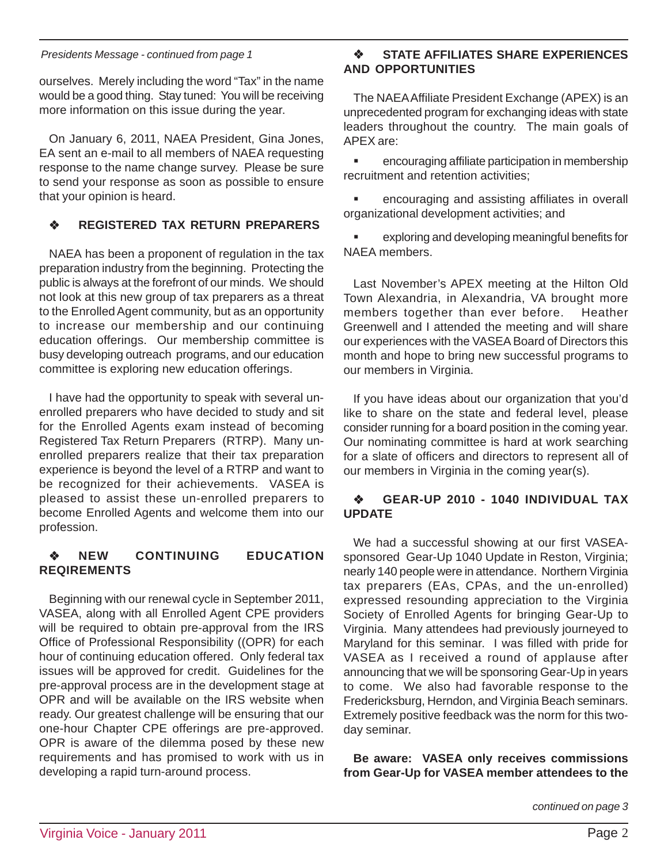#### *Presidents Message - continued from page 1*

ourselves. Merely including the word "Tax" in the name would be a good thing. Stay tuned: You will be receiving more information on this issue during the year.

On January 6, 2011, NAEA President, Gina Jones, EA sent an e-mail to all members of NAEA requesting response to the name change survey. Please be sure to send your response as soon as possible to ensure that your opinion is heard.

### **REGISTERED TAX RETURN PREPARERS**

NAEA has been a proponent of regulation in the tax preparation industry from the beginning. Protecting the public is always at the forefront of our minds. We should not look at this new group of tax preparers as a threat to the Enrolled Agent community, but as an opportunity to increase our membership and our continuing education offerings. Our membership committee is busy developing outreach programs, and our education committee is exploring new education offerings.

I have had the opportunity to speak with several unenrolled preparers who have decided to study and sit for the Enrolled Agents exam instead of becoming Registered Tax Return Preparers (RTRP). Many unenrolled preparers realize that their tax preparation experience is beyond the level of a RTRP and want to be recognized for their achievements. VASEA is pleased to assist these un-enrolled preparers to become Enrolled Agents and welcome them into our profession.

#### **NEW CONTINUING EDUCATION REQIREMENTS**

Beginning with our renewal cycle in September 2011, VASEA, along with all Enrolled Agent CPE providers will be required to obtain pre-approval from the IRS Office of Professional Responsibility ((OPR) for each hour of continuing education offered. Only federal tax issues will be approved for credit. Guidelines for the pre-approval process are in the development stage at OPR and will be available on the IRS website when ready. Our greatest challenge will be ensuring that our one-hour Chapter CPE offerings are pre-approved. OPR is aware of the dilemma posed by these new requirements and has promised to work with us in developing a rapid turn-around process.

#### **STATE AFFILIATES SHARE EXPERIENCES AND OPPORTUNITIES**

The NAEA Affiliate President Exchange (APEX) is an unprecedented program for exchanging ideas with state leaders throughout the country. The main goals of APEX are:

 encouraging affiliate participation in membership recruitment and retention activities;

 encouraging and assisting affiliates in overall organizational development activities; and

 exploring and developing meaningful benefits for NAEA members.

Last November's APEX meeting at the Hilton Old Town Alexandria, in Alexandria, VA brought more members together than ever before. Heather Greenwell and I attended the meeting and will share our experiences with the VASEA Board of Directors this month and hope to bring new successful programs to our members in Virginia.

If you have ideas about our organization that you'd like to share on the state and federal level, please consider running for a board position in the coming year. Our nominating committee is hard at work searching for a slate of officers and directors to represent all of our members in Virginia in the coming year(s).

#### **GEAR-UP 2010 - 1040 INDIVIDUAL TAX UPDATE**

We had a successful showing at our first VASEAsponsored Gear-Up 1040 Update in Reston, Virginia; nearly 140 people were in attendance. Northern Virginia tax preparers (EAs, CPAs, and the un-enrolled) expressed resounding appreciation to the Virginia Society of Enrolled Agents for bringing Gear-Up to Virginia. Many attendees had previously journeyed to Maryland for this seminar. I was filled with pride for VASEA as I received a round of applause after announcing that we will be sponsoring Gear-Up in years to come. We also had favorable response to the Fredericksburg, Herndon, and Virginia Beach seminars. Extremely positive feedback was the norm for this twoday seminar.

**Be aware: VASEA only receives commissions from Gear-Up for VASEA member attendees to the**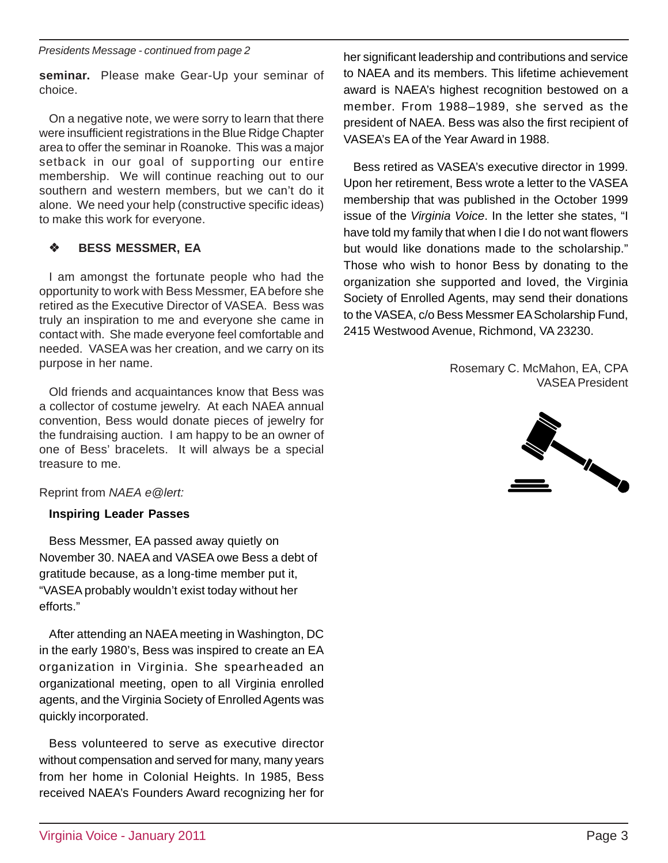*Presidents Message - continued from page 2*

**seminar.** Please make Gear-Up your seminar of choice.

On a negative note, we were sorry to learn that there were insufficient registrations in the Blue Ridge Chapter area to offer the seminar in Roanoke. This was a major setback in our goal of supporting our entire membership. We will continue reaching out to our southern and western members, but we can't do it alone. We need your help (constructive specific ideas) to make this work for everyone.

### **BESS MESSMER, EA**

I am amongst the fortunate people who had the opportunity to work with Bess Messmer, EA before she retired as the Executive Director of VASEA. Bess was truly an inspiration to me and everyone she came in contact with. She made everyone feel comfortable and needed. VASEA was her creation, and we carry on its purpose in her name.

Old friends and acquaintances know that Bess was a collector of costume jewelry. At each NAEA annual convention, Bess would donate pieces of jewelry for the fundraising auction. I am happy to be an owner of one of Bess' bracelets. It will always be a special treasure to me.

Reprint from *NAEA e@lert:*

### **Inspiring Leader Passes**

Bess Messmer, EA passed away quietly on November 30. NAEA and VASEA owe Bess a debt of gratitude because, as a long-time member put it, "VASEA probably wouldn't exist today without her efforts."

After attending an NAEA meeting in Washington, DC in the early 1980's, Bess was inspired to create an EA organization in Virginia. She spearheaded an organizational meeting, open to all Virginia enrolled agents, and the Virginia Society of Enrolled Agents was quickly incorporated.

Bess volunteered to serve as executive director without compensation and served for many, many years from her home in Colonial Heights. In 1985, Bess received NAEA's Founders Award recognizing her for her significant leadership and contributions and service to NAEA and its members. This lifetime achievement award is NAEA's highest recognition bestowed on a member. From 1988–1989, she served as the president of NAEA. Bess was also the first recipient of VASEA's EA of the Year Award in 1988.

Bess retired as VASEA's executive director in 1999. Upon her retirement, Bess wrote a letter to the VASEA membership that was published in the October 1999 issue of the *Virginia Voice*. In the letter she states, "I have told my family that when I die I do not want flowers but would like donations made to the scholarship." Those who wish to honor Bess by donating to the organization she supported and loved, the Virginia Society of Enrolled Agents, may send their donations to the VASEA, c/o Bess Messmer EA Scholarship Fund, 2415 Westwood Avenue, Richmond, VA 23230.

> Rosemary C. McMahon, EA, CPA VASEA President

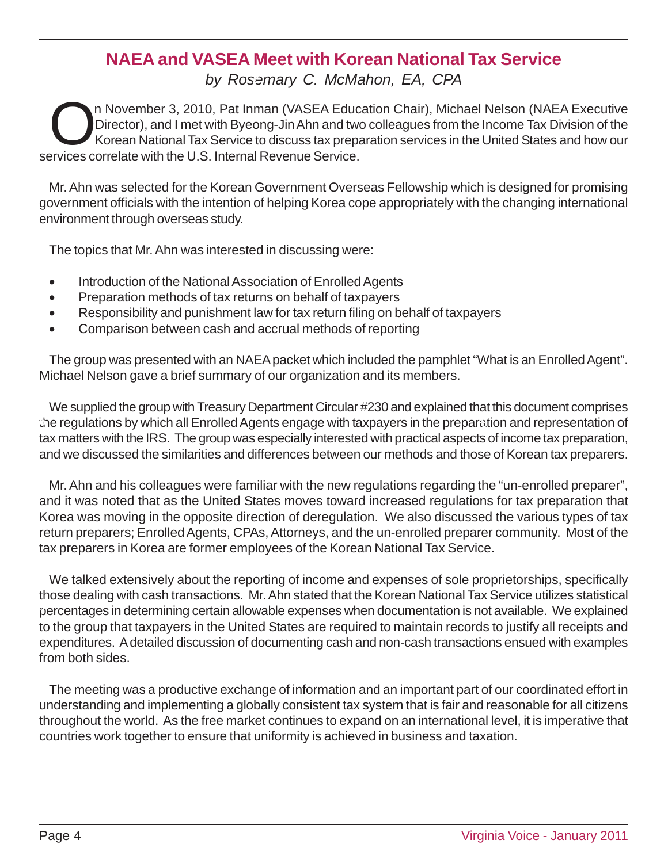### **NAEA and VASEA Meet with Korean National Tax Service**

*by Rosemary C. McMahon, EA, CPA* **2 3**

On November 3, 2010, Pat Inman (VASEA Education Chair), Michael Nelson (NAEA Executive<br>Director), and I met with Byeong-Jin Ahn and two colleagues from the Income Tax Division of the<br>Korean National Tax Service to discuss Director), and I met with Byeong-Jin Ahn and two colleagues from the Income Tax Division of the Korean National Tax Service to discuss tax preparation services in the United States and how our services correlate with the U.S. Internal Revenue Service.

Mr. Ahn was selected for the Korean Government Overseas Fellowship which is designed for promising government officials with the intention of helping Korea cope appropriately with the changing international environment through overseas study.

The topics that Mr. Ahn was interested in discussing were:

- Introduction of the National Association of Enrolled Agents
- Preparation methods of tax returns on behalf of taxpayers
- Responsibility and punishment law for tax return filing on behalf of taxpayers
- Comparison between cash and accrual methods of reporting

The group was presented with an NAEA packet which included the pamphlet "What is an Enrolled Agent". Michael Nelson gave a brief summary of our organization and its members.

We supplied the group with Treasury Department Circular #230 and explained that this document comprises che regulations by which all Enrolled Agents engage with taxpayers in the preparation and representation of tax matters with the IRS. The group was especially interested with practical aspects of income tax preparation, and we discussed the similarities and differences between our methods and those of Korean tax preparers.

Mr. Ahn and his colleagues were familiar with the new regulations regarding the "un-enrolled preparer", and it was noted that as the United States moves toward increased regulations for tax preparation that Korea was moving in the opposite direction of deregulation. We also discussed the various types of tax return preparers; Enrolled Agents, CPAs, Attorneys, and the un-enrolled preparer community. Most of the 8tax preparers in Korea are former employees of the Korean National Tax Service.

We talked extensively about the reporting of income and expenses of sole proprietorships, specifically those dealing with cash transactions. Mr. Ahn stated that the Korean National Tax Service utilizes statistical percentages in determining certain allowable expenses when documentation is not available. We explained **9** to the group that taxpayers in the United States are required to maintain records to justify all receipts and expenditures. A detailed discussion of documenting cash and non-cash transactions ensued with examples from both sides.

The meeting was a productive exchange of information and an important part of our coordinated effort in understanding and implementing a globally consistent tax system that is fair and reasonable for all citizens throughout the world. As the free market continues to expand on an international level, it is imperative that countries work together to ensure that uniformity is achieved in business and taxation.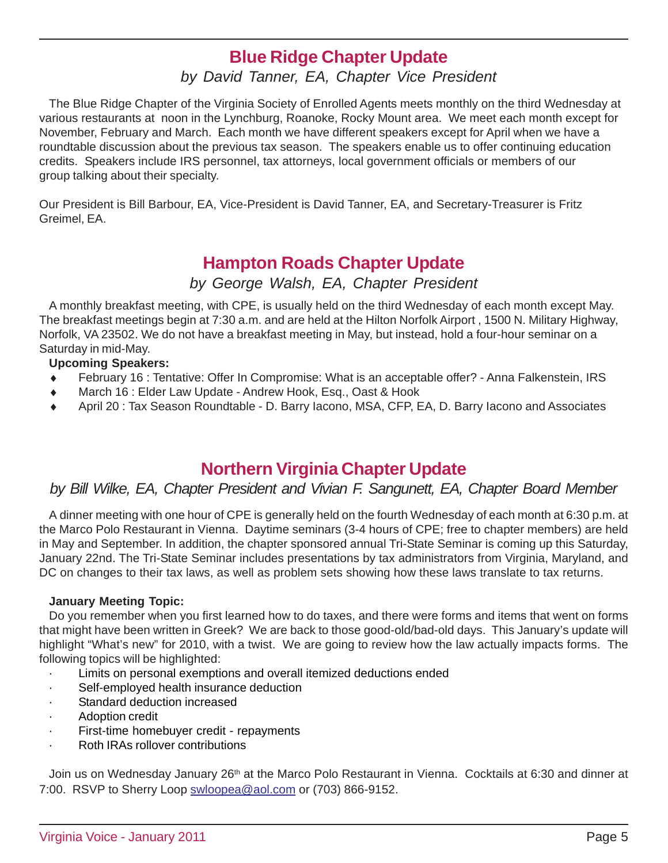### **Blue Ridge Chapter Update**

*by David Tanner, EA, Chapter Vice President*

The Blue Ridge Chapter of the Virginia Society of Enrolled Agents meets monthly on the third Wednesday at various restaurants at noon in the Lynchburg, Roanoke, Rocky Mount area. We meet each month except for November, February and March. Each month we have different speakers except for April when we have a roundtable discussion about the previous tax season. The speakers enable us to offer continuing education credits. Speakers include IRS personnel, tax attorneys, local government officials or members of our group talking about their specialty.

Our President is Bill Barbour, EA, Vice-President is David Tanner, EA, and Secretary-Treasurer is Fritz Greimel, EA.

### **Hampton Roads Chapter Update**

*by George Walsh, EA, Chapter President*

A monthly breakfast meeting, with CPE, is usually held on the third Wednesday of each month except May. The breakfast meetings begin at 7:30 a.m. and are held at the Hilton Norfolk Airport , 1500 N. Military Highway, Norfolk, VA 23502. We do not have a breakfast meeting in May, but instead, hold a four-hour seminar on a Saturday in mid-May.

### **Upcoming Speakers:**

- February 16 : Tentative: Offer In Compromise: What is an acceptable offer? Anna Falkenstein, IRS
- March 16 : Elder Law Update Andrew Hook, Esq., Oast & Hook
- April 20 : Tax Season Roundtable D. Barry Iacono, MSA, CFP, EA, D. Barry Iacono and Associates

### **Northern Virginia Chapter Update**

### *by Bill Wilke, EA, Chapter President and Vivian F. Sangunett, EA, Chapter Board Member*

A dinner meeting with one hour of CPE is generally held on the fourth Wednesday of each month at 6:30 p.m. at the Marco Polo Restaurant in Vienna. Daytime seminars (3-4 hours of CPE; free to chapter members) are held in May and September. In addition, the chapter sponsored annual Tri-State Seminar is coming up this Saturday, January 22nd. The Tri-State Seminar includes presentations by tax administrators from Virginia, Maryland, and DC on changes to their tax laws, as well as problem sets showing how these laws translate to tax returns.

### **January Meeting Topic:**

Do you remember when you first learned how to do taxes, and there were forms and items that went on forms that might have been written in Greek? We are back to those good-old/bad-old days. This January's update will highlight "What's new" for 2010, with a twist. We are going to review how the law actually impacts forms. The following topics will be highlighted:

- Limits on personal exemptions and overall itemized deductions ended
- Self-employed health insurance deduction
- Standard deduction increased
- Adoption credit
- First-time homebuyer credit repayments
- Roth IRAs rollover contributions

Join us on Wednesday January 26<sup>th</sup> at the Marco Polo Restaurant in Vienna. Cocktails at 6:30 and dinner at 7:00. RSVP to Sherry Loop swloopea@aol.com or (703) 866-9152.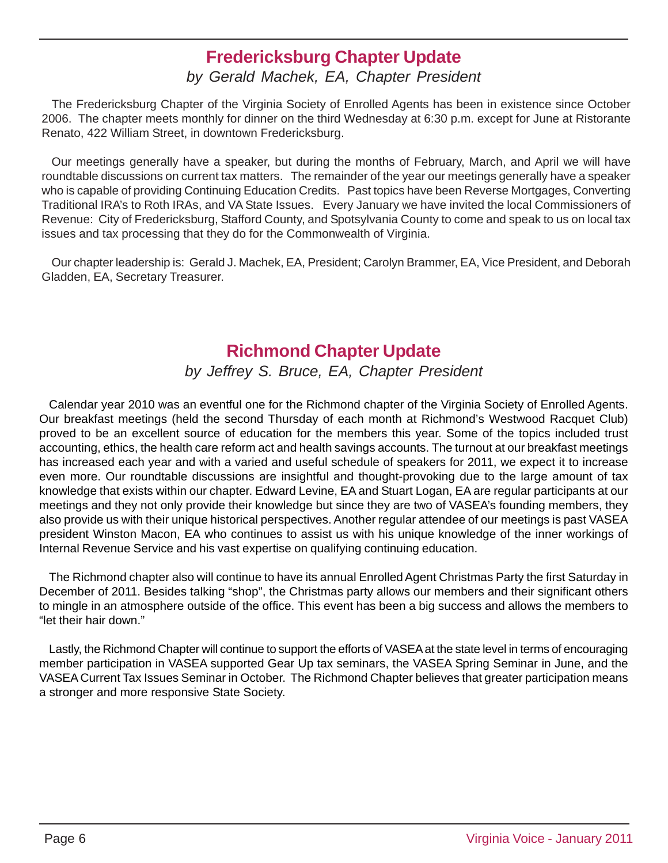### **Fredericksburg Chapter Update**

### *by Gerald Machek, EA, Chapter President*

The Fredericksburg Chapter of the Virginia Society of Enrolled Agents has been in existence since October 2006. The chapter meets monthly for dinner on the third Wednesday at 6:30 p.m. except for June at Ristorante Renato, 422 William Street, in downtown Fredericksburg.

Our meetings generally have a speaker, but during the months of February, March, and April we will have roundtable discussions on current tax matters. The remainder of the year our meetings generally have a speaker who is capable of providing Continuing Education Credits. Past topics have been Reverse Mortgages, Converting Traditional IRA's to Roth IRAs, and VA State Issues. Every January we have invited the local Commissioners of Revenue: City of Fredericksburg, Stafford County, and Spotsylvania County to come and speak to us on local tax issues and tax processing that they do for the Commonwealth of Virginia.

Our chapter leadership is: Gerald J. Machek, EA, President; Carolyn Brammer, EA, Vice President, and Deborah Gladden, EA, Secretary Treasurer.

### **Richmond Chapter Update**

*by Jeffrey S. Bruce, EA, Chapter President*

Calendar year 2010 was an eventful one for the Richmond chapter of the Virginia Society of Enrolled Agents. Our breakfast meetings (held the second Thursday of each month at Richmond's Westwood Racquet Club) proved to be an excellent source of education for the members this year. Some of the topics included trust accounting, ethics, the health care reform act and health savings accounts. The turnout at our breakfast meetings has increased each year and with a varied and useful schedule of speakers for 2011, we expect it to increase even more. Our roundtable discussions are insightful and thought-provoking due to the large amount of tax knowledge that exists within our chapter. Edward Levine, EA and Stuart Logan, EA are regular participants at our meetings and they not only provide their knowledge but since they are two of VASEA's founding members, they also provide us with their unique historical perspectives. Another regular attendee of our meetings is past VASEA president Winston Macon, EA who continues to assist us with his unique knowledge of the inner workings of Internal Revenue Service and his vast expertise on qualifying continuing education.

The Richmond chapter also will continue to have its annual Enrolled Agent Christmas Party the first Saturday in December of 2011. Besides talking "shop", the Christmas party allows our members and their significant others to mingle in an atmosphere outside of the office. This event has been a big success and allows the members to "let their hair down."

Lastly, the Richmond Chapter will continue to support the efforts of VASEA at the state level in terms of encouraging member participation in VASEA supported Gear Up tax seminars, the VASEA Spring Seminar in June, and the VASEA Current Tax Issues Seminar in October. The Richmond Chapter believes that greater participation means a stronger and more responsive State Society.